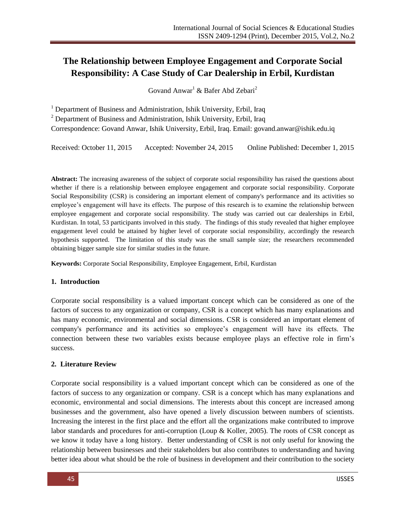# **The Relationship between Employee Engagement and Corporate Social Responsibility: A Case Study of Car Dealership in Erbil, Kurdistan**

Govand Anwar<sup>1</sup> & Bafer Abd Zebari<sup>2</sup>

<sup>1</sup> Department of Business and Administration, Ishik University, Erbil, Iraq

 $2$  Department of Business and Administration, Ishik University, Erbil, Iraq

Correspondence: Govand Anwar, Ishik University, Erbil, Iraq. Email[: govand.anwar@ishik.edu.iq](mailto:govand.anwar@ishik.edu.iq)

Received: October 11, 2015 Accepted: November 24, 2015 Online Published: December 1, 2015

**Abstract:** The increasing awareness of the subject of corporate social responsibility has raised the questions about whether if there is a relationship between employee engagement and corporate social responsibility. Corporate Social Responsibility (CSR) is considering an important element of company's performance and its activities so employee's engagement will have its effects. The purpose of this research is to examine the relationship between employee engagement and corporate social responsibility. The study was carried out car dealerships in Erbil, Kurdistan. In total, 53 participants involved in this study. The findings of this study revealed that higher employee engagement level could be attained by higher level of corporate social responsibility, accordingly the research hypothesis supported. The limitation of this study was the small sample size; the researchers recommended obtaining bigger sample size for similar studies in the future.

**Keywords:** Corporate Social Responsibility, Employee Engagement, Erbil, Kurdistan

#### **1. Introduction**

Corporate social responsibility is a valued important concept which can be considered as one of the factors of success to any organization or company, CSR is a concept which has many explanations and has many economic, environmental and social dimensions. CSR is considered an important element of company's performance and its activities so employee's engagement will have its effects. The connection between these two variables exists because employee plays an effective role in firm's success.

### **2. Literature Review**

Corporate social responsibility is a valued important concept which can be considered as one of the factors of success to any organization or company. CSR is a concept which has many explanations and economic, environmental and social dimensions. The interests about this concept are increased among businesses and the government, also have opened a lively discussion between numbers of scientists. Increasing the interest in the first place and the effort all the organizations make contributed to improve labor standards and procedures for anti-corruption (Loup & Koller, 2005). The roots of CSR concept as we know it today have a long history. Better understanding of CSR is not only useful for knowing the relationship between businesses and their stakeholders but also contributes to understanding and having better idea about what should be the role of business in development and their contribution to the society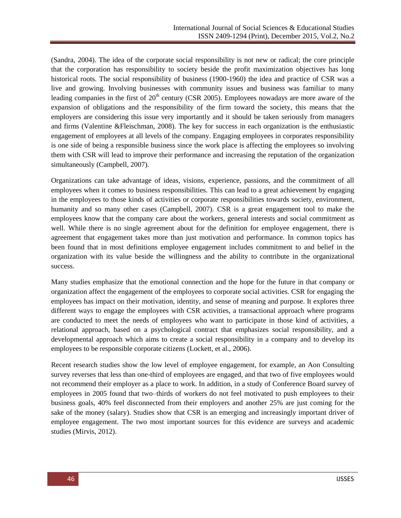(Sandra, 2004). The idea of the corporate social responsibility is not new or radical; the core principle that the corporation has responsibility to society beside the profit maximization objectives has long historical roots. The social responsibility of business (1900-1960) the idea and practice of CSR was a live and growing. Involving businesses with community issues and business was familiar to many leading companies in the first of  $20<sup>th</sup>$  century (CSR 2005). Employees nowadays are more aware of the expansion of obligations and the responsibility of the firm toward the society, this means that the employers are considering this issue very importantly and it should be taken seriously from managers and firms (Valentine &Fleischman, 2008). The key for success in each organization is the enthusiastic engagement of employees at all levels of the company. Engaging employees in corporates responsibility is one side of being a responsible business since the work place is affecting the employees so involving them with CSR will lead to improve their performance and increasing the reputation of the organization simultaneously (Campbell, 2007).

Organizations can take advantage of ideas, visions, experience, passions, and the commitment of all employees when it comes to business responsibilities. This can lead to a great achievement by engaging in the employees to those kinds of activities or corporate responsibilities towards society, environment, humanity and so many other cases (Campbell, 2007). CSR is a great engagement tool to make the employees know that the company care about the workers, general interests and social commitment as well. While there is no single agreement about for the definition for employee engagement, there is agreement that engagement takes more than just motivation and performance. In common topics has been found that in most definitions employee engagement includes commitment to and belief in the organization with its value beside the willingness and the ability to contribute in the organizational success.

Many studies emphasize that the emotional connection and the hope for the future in that company or organization affect the engagement of the employees to corporate social activities. CSR for engaging the employees has impact on their motivation, identity, and sense of meaning and purpose. It explores three different ways to engage the employees with CSR activities, a transactional approach where programs are conducted to meet the needs of employees who want to participate in those kind of activities, a relational approach, based on a psychological contract that emphasizes social responsibility, and a developmental approach which aims to create a social responsibility in a company and to develop its employees to be responsible corporate citizens (Lockett, et al., 2006).

Recent research studies show the low level of employee engagement, for example, an Aon Consulting survey reverses that less than one-third of employees are engaged, and that two of five employees would not recommend their employer as a place to work. In addition, in a study of Conference Board survey of employees in 2005 found that two–thirds of workers do not feel motivated to push employees to their business goals, 40% feel disconnected from their employers and another 25% are just coming for the sake of the money (salary). Studies show that CSR is an emerging and increasingly important driver of employee engagement. The two most important sources for this evidence are surveys and academic studies (Mirvis, 2012).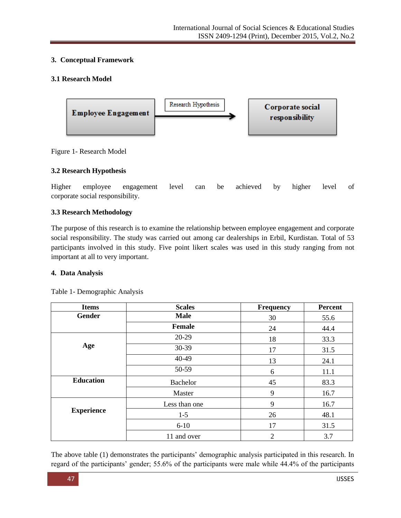# **3. Conceptual Framework**

# **3.1 Research Model**



Figure 1- Research Model

### **3.2 Research Hypothesis**

Higher employee engagement level can be achieved by higher level of corporate social responsibility.

# **3.3 Research Methodology**

The purpose of this research is to examine the relationship between employee engagement and corporate social responsibility. The study was carried out among car dealerships in Erbil, Kurdistan. Total of 53 participants involved in this study. Five point likert scales was used in this study ranging from not important at all to very important.

### **4. Data Analysis**

| <b>Items</b>      | <b>Scales</b>   | <b>Frequency</b> | <b>Percent</b> |  |
|-------------------|-----------------|------------------|----------------|--|
| <b>Gender</b>     | <b>Male</b>     | 30               | 55.6           |  |
|                   | <b>Female</b>   | 24               | 44.4           |  |
|                   | 20-29           | 18               | 33.3           |  |
| Age               | 30-39           | 17               | 31.5           |  |
|                   | 40-49           | 13               | 24.1           |  |
|                   | 50-59           | 6                | 11.1           |  |
| <b>Education</b>  | <b>Bachelor</b> | 45               | 83.3           |  |
|                   | Master          | 9                | 16.7           |  |
|                   | Less than one   | 9                | 16.7           |  |
| <b>Experience</b> | $1 - 5$         | 26               | 48.1           |  |
|                   | $6 - 10$        | 17               | 31.5           |  |
|                   | 11 and over     | $\overline{2}$   | 3.7            |  |

Table 1- Demographic Analysis

The above table (1) demonstrates the participants' demographic analysis participated in this research. In regard of the participants' gender; 55.6% of the participants were male while 44.4% of the participants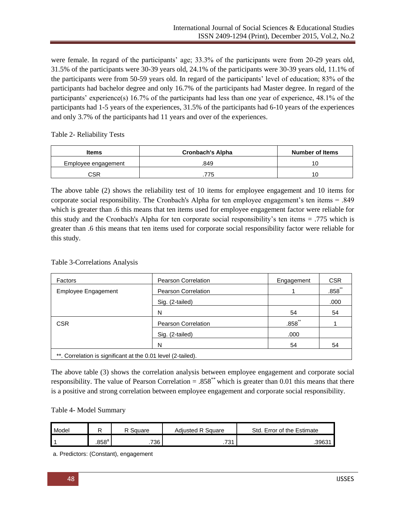were female. In regard of the participants' age; 33.3% of the participants were from 20-29 years old, 31.5% of the participants were 30-39 years old, 24.1% of the participants were 30-39 years old, 11.1% of the participants were from 50-59 years old. In regard of the participants' level of education; 83% of the participants had bachelor degree and only 16.7% of the participants had Master degree. In regard of the participants' experience(s) 16.7% of the participants had less than one year of experience, 48.1% of the participants had 1-5 years of the experiences, 31.5% of the participants had 6-10 years of the experiences and only 3.7% of the participants had 11 years and over of the experiences.

Table 2- Reliability Tests

| Items               | <b>Cronbach's Alpha</b> | <b>Number of Items</b> |  |
|---------------------|-------------------------|------------------------|--|
| Employee engagement | .849                    | 10                     |  |
| CSR                 | 775                     | 10                     |  |

The above table (2) shows the reliability test of 10 items for employee engagement and 10 items for corporate social responsibility. The Cronbach's Alpha for ten employee engagement's ten items = .849 which is greater than .6 this means that ten items used for employee engagement factor were reliable for this study and the Cronbach's Alpha for ten corporate social responsibility's ten items = .775 which is greater than .6 this means that ten items used for corporate social responsibility factor were reliable for this study.

| <b>Table 3-Correlations Analysis</b> |  |
|--------------------------------------|--|
|--------------------------------------|--|

| Factors                                                      | <b>Pearson Correlation</b> | Engagement | <b>CSR</b>           |  |  |  |
|--------------------------------------------------------------|----------------------------|------------|----------------------|--|--|--|
| Employee Engagement                                          | Pearson Correlation        |            | $.858$ <sup>**</sup> |  |  |  |
|                                                              | Sig. (2-tailed)            |            | .000                 |  |  |  |
|                                                              | N                          | 54         | 54                   |  |  |  |
| <b>CSR</b>                                                   | Pearson Correlation        | $.858$ **  |                      |  |  |  |
|                                                              | Sig. (2-tailed)            | .000       |                      |  |  |  |
|                                                              | N                          | 54         | 54                   |  |  |  |
| **. Correlation is significant at the 0.01 level (2-tailed). |                            |            |                      |  |  |  |

The above table (3) shows the correlation analysis between employee engagement and corporate social responsibility. The value of Pearson Correlation =  $.858^{**}$  which is greater than 0.01 this means that there is a positive and strong correlation between employee engagement and corporate social responsibility.

### Table 4- Model Summary

| Model |       | R Square | <b>Adiusted R Square</b> | Std. Error of the Estimate |
|-------|-------|----------|--------------------------|----------------------------|
|       | .858ª | 736      | .731                     | .39631                     |

a. Predictors: (Constant), engagement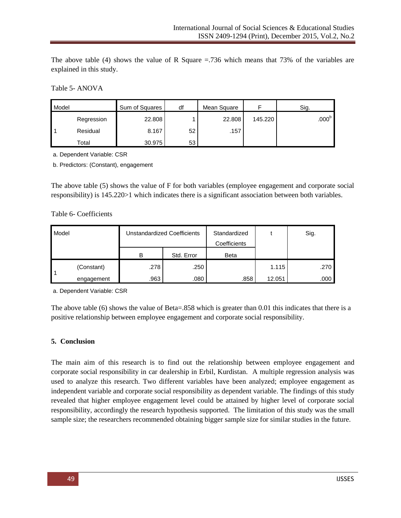The above table (4) shows the value of R Square  $=$  736 which means that 73% of the variables are explained in this study.

Table 5- ANOVA

| Model |            | Sum of Squares | df | Mean Square |         | Sig.              |
|-------|------------|----------------|----|-------------|---------|-------------------|
|       | Regression | 22.808         |    | 22.808      | 145.220 | .000 <sup>b</sup> |
|       | Residual   | 8.167          | 52 | .157        |         |                   |
|       | Total      | 30.975         | 53 |             |         |                   |

a. Dependent Variable: CSR

b. Predictors: (Constant), engagement

The above table (5) shows the value of F for both variables (employee engagement and corporate social responsibility) is 145.220>1 which indicates there is a significant association between both variables.

#### Table 6- Coefficients

| Model |            | Unstandardized Coefficients |            | Standardized<br>Coefficients |        | Sig. |
|-------|------------|-----------------------------|------------|------------------------------|--------|------|
|       |            | в                           | Std. Error | <b>Beta</b>                  |        |      |
|       | (Constant) | .278                        | .250       |                              | 1.115  | .270 |
|       | engagement | .963                        | .080       | .858                         | 12.051 | .000 |

a. Dependent Variable: CSR

The above table (6) shows the value of Beta=.858 which is greater than 0.01 this indicates that there is a positive relationship between employee engagement and corporate social responsibility.

#### **5. Conclusion**

The main aim of this research is to find out the relationship between employee engagement and corporate social responsibility in car dealership in Erbil, Kurdistan. A multiple regression analysis was used to analyze this research. Two different variables have been analyzed; employee engagement as independent variable and corporate social responsibility as dependent variable. The findings of this study revealed that higher employee engagement level could be attained by higher level of corporate social responsibility, accordingly the research hypothesis supported. The limitation of this study was the small sample size; the researchers recommended obtaining bigger sample size for similar studies in the future.